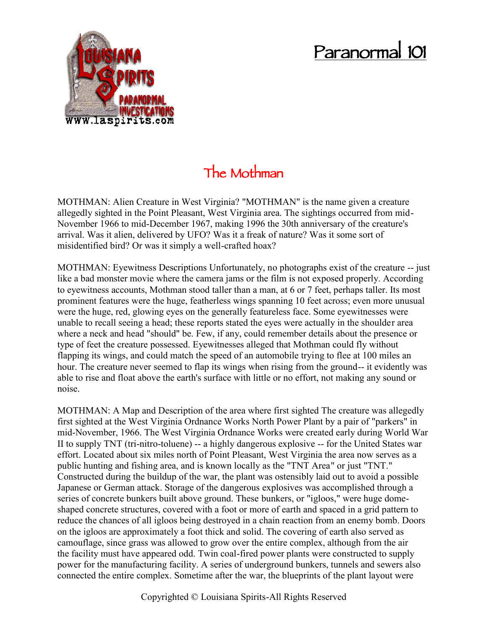## **Paranormal 101**



## **The Mothman**

MOTHMAN: Alien Creature in West Virginia? "MOTHMAN" is the name given a creature allegedly sighted in the Point Pleasant, West Virginia area. The sightings occurred from mid- November 1966 to mid-December 1967, making 1996 the 30th anniversary of the creature's arrival. Was it alien, delivered by UFO? Was it a freak of nature? Was it some sort of misidentified bird? Or was it simply a well-crafted hoax?

MOTHMAN: Eyewitness Descriptions Unfortunately, no photographs exist of the creature -- just like a bad monster movie where the camera jams or the film is not exposed properly. According to eyewitness accounts, Mothman stood taller than a man, at 6 or 7 feet, perhaps taller. Its most prominent features were the huge, featherless wings spanning 10 feet across; even more unusual were the huge, red, glowing eyes on the generally featureless face. Some eyewitnesses were unable to recall seeing a head; these reports stated the eyes were actually in the shoulder area where a neck and head "should" be. Few, if any, could remember details about the presence or type of feet the creature possessed. Eyewitnesses alleged that Mothman could fly without flapping its wings, and could match the speed of an automobile trying to flee at 100 miles an hour. The creature never seemed to flap its wings when rising from the ground-- it evidently was able to rise and float above the earth's surface with little or no effort, not making any sound or noise.

MOTHMAN: A Map and Description of the area where first sighted The creature was allegedly first sighted at the West Virginia Ordnance Works North Power Plant by a pair of "parkers" in mid-November, 1966. The West Virginia Ordnance Works were created early during World War II to supply TNT (tri-nitro-toluene) -- a highly dangerous explosive -- for the United States war effort. Located about six miles north of Point Pleasant, West Virginia the area now serves as a public hunting and fishing area, and is known locally as the "TNT Area" or just "TNT." Constructed during the buildup of the war, the plant was ostensibly laid out to avoid a possible Japanese or German attack. Storage of the dangerous explosives was accomplished through a series of concrete bunkers built above ground. These bunkers, or "igloos," were huge dome shaped concrete structures, covered with a foot or more of earth and spaced in a grid pattern to reduce the chances of all igloos being destroyed in a chain reaction from an enemy bomb. Doors on the igloos are approximately a foot thick and solid. The covering of earth also served as camouflage, since grass was allowed to grow over the entire complex, although from the air the facility must have appeared odd. Twin coal-fired power plants were constructed to supply power for the manufacturing facility. A series of underground bunkers, tunnels and sewers also connected the entire complex. Sometime after the war, the blueprints of the plant layout were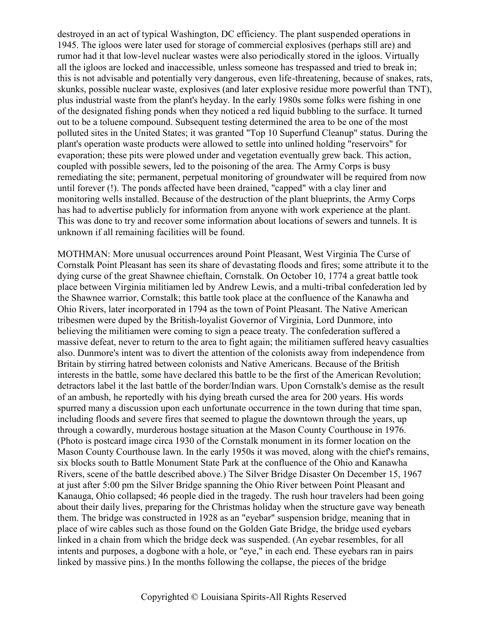destroyed in an act of typical Washington, DC efficiency. The plant suspended operations in 1945. The igloos were later used for storage of commercial explosives (perhaps still are) and rumor had it that low-level nuclear wastes were also periodically stored in the igloos. Virtually all the igloos are locked and inaccessible, unless someone has trespassed and tried to break in; this is not advisable and potentially very dangerous, even life-threatening, because of snakes, rats, skunks, possible nuclear waste, explosives (and later explosive residue more powerful than TNT), plus industrial waste from the plant's heyday. In the early 1980s some folks were fishing in one of the designated fishing ponds when they noticed a red liquid bubbling to the surface. It turned out to be a toluene compound. Subsequent testing determined the area to be one of the most polluted sites in the United States; it was granted "Top 10 Superfund Cleanup" status. During the plant's operation waste products were allowed to settle into unlined holding "reservoirs" for evaporation; these pits were plowed under and vegetation eventually grew back. This action, coupled with possible sewers, led to the poisoning of the area. The Army Corps is busy remediating the site; permanent, perpetual monitoring of groundwater will be required from now until forever (!). The ponds affected have been drained, "capped" with a clay liner and monitoring wells installed. Because of the destruction of the plant blueprints, the Army Corps has had to advertise publicly for information from anyone with work experience at the plant. This was done to try and recover some information about locations of sewers and tunnels. It is unknown if all remaining facilities will be found.

MOTHMAN: More unusual occurrences around Point Pleasant, West Virginia The Curse of Cornstalk Point Pleasant has seen its share of devastating floods and fires; some attribute it to the dying curse of the great Shawnee chieftain, Cornstalk. On October 10, 1774 a great battle took place between Virginia militiamen led by Andrew Lewis, and a multi-tribal confederation led by the Shawnee warrior, Cornstalk; this battle took place at the confluence of the Kanawha and Ohio Rivers, later incorporated in 1794 as the town of Point Pleasant. The Native American tribesmen were duped by the British-loyalist Governor of Virginia, Lord Dunmore, into believing the militiamen were coming to sign a peace treaty. The confederation suffered a massive defeat, never to return to the area to fight again; the militiamen suffered heavy casualties also. Dunmore's intent was to divert the attention of the colonists away from independence from Britain by stirring hatred between colonists and Native Americans. Because of the British interests in the battle, some have declared this battle to be the first of the American Revolution; detractors label it the last battle of the border/Indian wars. Upon Cornstalk's demise as the result of an ambush, he reportedly with his dying breath cursed the area for 200 years. His words spurred many a discussion upon each unfortunate occurrence in the town during that time span, including floods and severe fires that seemed to plague the downtown through the years, up through a cowardly, murderous hostage situation at the Mason County Courthouse in 1976. (Photo is postcard image circa 1930 of the Cornstalk monument in its former location on the Mason County Courthouse lawn. In the early 1950s it was moved, along with the chief's remains, six blocks south to Battle Monument State Park at the confluence of the Ohio and Kanawha Rivers, scene of the battle described above.) The Silver Bridge Disaster On December 15, 1967 at just after 5:00 pm the Silver Bridge spanning the Ohio River between Point Pleasant and Kanauga, Ohio collapsed; 46 people died in the tragedy. The rush hour travelers had been going about their daily lives, preparing for the Christmas holiday when the structure gave way beneath them. The bridge was constructed in 1928 as an "eyebar" suspension bridge, meaning that in place of wire cables such as those found on the Golden Gate Bridge, the bridge used eyebars linked in a chain from which the bridge deck was suspended. (An eyebar resembles, for all intents and purposes, a dogbone with a hole, or "eye," in each end. These eyebars ran in pairs linked by massive pins.) In the months following the collapse, the pieces of the bridge